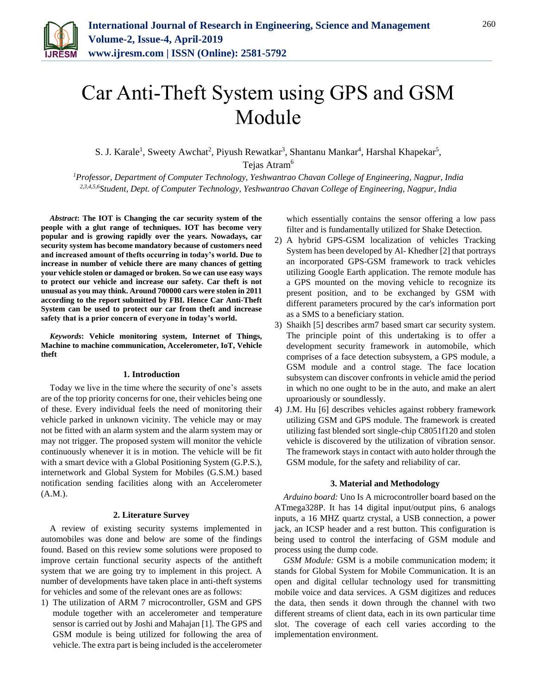

# Car Anti-Theft System using GPS and GSM Module

S. J. Karale<sup>1</sup>, Sweety Awchat<sup>2</sup>, Piyush Rewatkar<sup>3</sup>, Shantanu Mankar<sup>4</sup>, Harshal Khapekar<sup>5</sup>,

Tejas Atram<sup>6</sup>

*<sup>1</sup>Professor, Department of Computer Technology, Yeshwantrao Chavan College of Engineering, Nagpur, India 2,3,4,5,6Student, Dept. of Computer Technology, Yeshwantrao Chavan College of Engineering, Nagpur, India*

*Abstract***: The IOT is Changing the car security system of the people with a glut range of techniques. IOT has become very popular and is growing rapidly over the years. Nowadays, car security system has become mandatory because of customers need and increased amount of thefts occurring in today's world. Due to increase in number of vehicle there are many chances of getting your vehicle stolen or damaged or broken. So we can use easy ways to protect our vehicle and increase our safety. Car theft is not unusual as you may think. Around 700000 cars were stolen in 2011 according to the report submitted by FBI. Hence Car Anti-Theft System can be used to protect our car from theft and increase safety that is a prior concern of everyone in today's world.**

*Keywords***: Vehicle monitoring system, Internet of Things, Machine to machine communication, Accelerometer, IoT, Vehicle theft**

# **1. Introduction**

Today we live in the time where the security of one's assets are of the top priority concerns for one, their vehicles being one of these. Every individual feels the need of monitoring their vehicle parked in unknown vicinity. The vehicle may or may not be fitted with an alarm system and the alarm system may or may not trigger. The proposed system will monitor the vehicle continuously whenever it is in motion. The vehicle will be fit with a smart device with a Global Positioning System (G.P.S.), internetwork and Global System for Mobiles (G.S.M.) based notification sending facilities along with an Accelerometer (A.M.).

# **2. Literature Survey**

A review of existing security systems implemented in automobiles was done and below are some of the findings found. Based on this review some solutions were proposed to improve certain functional security aspects of the antitheft system that we are going try to implement in this project. A number of developments have taken place in anti-theft systems for vehicles and some of the relevant ones are as follows:

1) The utilization of ARM 7 microcontroller, GSM and GPS module together with an accelerometer and temperature sensor is carried out by Joshi and Mahajan [1]. The GPS and GSM module is being utilized for following the area of vehicle. The extra part is being included is the accelerometer

which essentially contains the sensor offering a low pass filter and is fundamentally utilized for Shake Detection.

- 2) A hybrid GPS-GSM localization of vehicles Tracking System has been developed by Al- Khedher [2] that portrays an incorporated GPS-GSM framework to track vehicles utilizing Google Earth application. The remote module has a GPS mounted on the moving vehicle to recognize its present position, and to be exchanged by GSM with different parameters procured by the car's information port as a SMS to a beneficiary station.
- 3) Shaikh [5] describes arm7 based smart car security system. The principle point of this undertaking is to offer a development security framework in automobile, which comprises of a face detection subsystem, a GPS module, a GSM module and a control stage. The face location subsystem can discover confronts in vehicle amid the period in which no one ought to be in the auto, and make an alert uproariously or soundlessly.
- 4) J.M. Hu [6] describes vehicles against robbery framework utilizing GSM and GPS module. The framework is created utilizing fast blended sort single-chip C8051f120 and stolen vehicle is discovered by the utilization of vibration sensor. The framework stays in contact with auto holder through the GSM module, for the safety and reliability of car.

#### **3. Material and Methodology**

*Arduino board:* Uno Is A microcontroller board based on the ATmega328P. It has 14 digital input/output pins, 6 analogs inputs, a 16 MHZ quartz crystal, a USB connection, a power jack, an ICSP header and a rest button. This configuration is being used to control the interfacing of GSM module and process using the dump code.

*GSM Module:* GSM is a mobile communication modem; it stands for Global System for Mobile Communication. It is an open and digital cellular technology used for transmitting mobile voice and data services. A GSM digitizes and reduces the data, then sends it down through the channel with two different streams of client data, each in its own particular time slot. The coverage of each cell varies according to the implementation environment.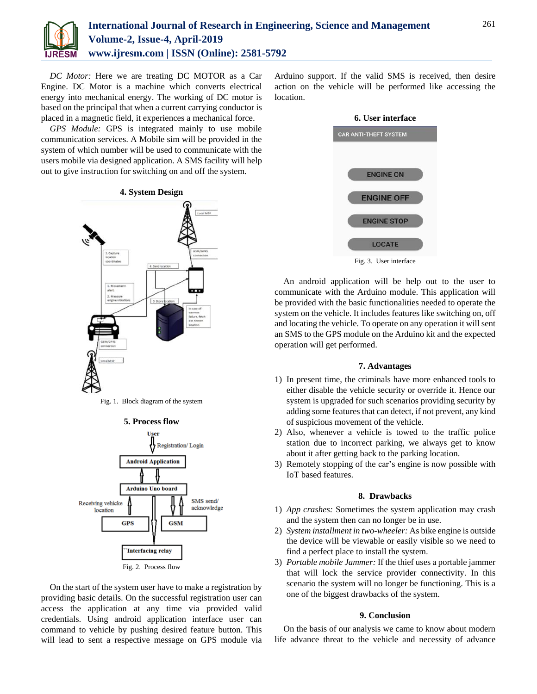

*DC Motor:* Here we are treating DC MOTOR as a Car Engine. DC Motor is a machine which converts electrical energy into mechanical energy. The working of DC motor is based on the principal that when a current carrying conductor is placed in a magnetic field, it experiences a mechanical force.

*GPS Module:* GPS is integrated mainly to use mobile communication services. A Mobile sim will be provided in the system of which number will be used to communicate with the users mobile via designed application. A SMS facility will help out to give instruction for switching on and off the system.



Fig. 1. Block diagram of the system



On the start of the system user have to make a registration by providing basic details. On the successful registration user can access the application at any time via provided valid credentials. Using android application interface user can command to vehicle by pushing desired feature button. This will lead to sent a respective message on GPS module via Arduino support. If the valid SMS is received, then desire action on the vehicle will be performed like accessing the location.



Fig. 3. User interface

An android application will be help out to the user to communicate with the Arduino module. This application will be provided with the basic functionalities needed to operate the system on the vehicle. It includes features like switching on, off and locating the vehicle. To operate on any operation it will sent an SMS to the GPS module on the Arduino kit and the expected operation will get performed.

#### **7. Advantages**

- 1) In present time, the criminals have more enhanced tools to either disable the vehicle security or override it. Hence our system is upgraded for such scenarios providing security by adding some features that can detect, if not prevent, any kind of suspicious movement of the vehicle.
- 2) Also, whenever a vehicle is towed to the traffic police station due to incorrect parking, we always get to know about it after getting back to the parking location.
- 3) Remotely stopping of the car's engine is now possible with IoT based features.

# **8. Drawbacks**

- 1) *App crashes:* Sometimes the system application may crash and the system then can no longer be in use.
- 2) *System installment in two-wheeler:* As bike engine is outside the device will be viewable or easily visible so we need to find a perfect place to install the system.
- 3) *Portable mobile Jammer:* If the thief uses a portable jammer that will lock the service provider connectivity. In this scenario the system will no longer be functioning. This is a one of the biggest drawbacks of the system.

## **9. Conclusion**

On the basis of our analysis we came to know about modern life advance threat to the vehicle and necessity of advance